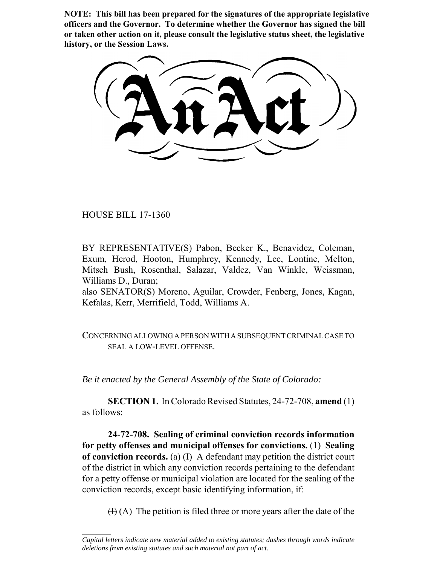**NOTE: This bill has been prepared for the signatures of the appropriate legislative officers and the Governor. To determine whether the Governor has signed the bill or taken other action on it, please consult the legislative status sheet, the legislative history, or the Session Laws.**

HOUSE BILL 17-1360

 $\frac{1}{2}$ 

BY REPRESENTATIVE(S) Pabon, Becker K., Benavidez, Coleman, Exum, Herod, Hooton, Humphrey, Kennedy, Lee, Lontine, Melton, Mitsch Bush, Rosenthal, Salazar, Valdez, Van Winkle, Weissman, Williams D., Duran;

also SENATOR(S) Moreno, Aguilar, Crowder, Fenberg, Jones, Kagan, Kefalas, Kerr, Merrifield, Todd, Williams A.

CONCERNING ALLOWING A PERSON WITH A SUBSEQUENT CRIMINAL CASE TO SEAL A LOW-LEVEL OFFENSE.

*Be it enacted by the General Assembly of the State of Colorado:*

**SECTION 1.** In Colorado Revised Statutes, 24-72-708, **amend** (1) as follows:

**24-72-708. Sealing of criminal conviction records information for petty offenses and municipal offenses for convictions.** (1) **Sealing of conviction records.** (a) (I) A defendant may petition the district court of the district in which any conviction records pertaining to the defendant for a petty offense or municipal violation are located for the sealing of the conviction records, except basic identifying information, if:

 $(H)$  (A) The petition is filed three or more years after the date of the

*Capital letters indicate new material added to existing statutes; dashes through words indicate deletions from existing statutes and such material not part of act.*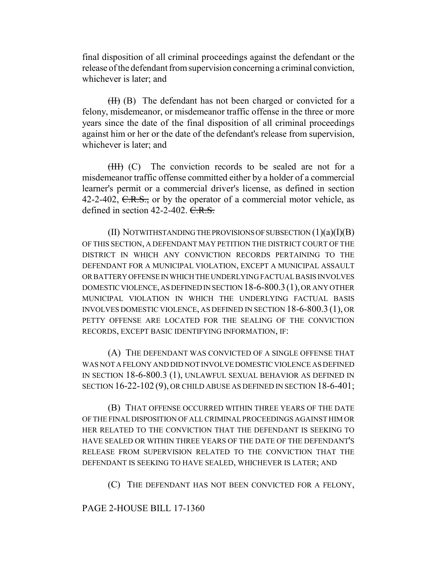final disposition of all criminal proceedings against the defendant or the release of the defendant from supervision concerning a criminal conviction, whichever is later; and

 $(H)$  (B) The defendant has not been charged or convicted for a felony, misdemeanor, or misdemeanor traffic offense in the three or more years since the date of the final disposition of all criminal proceedings against him or her or the date of the defendant's release from supervision, whichever is later; and

(III) (C) The conviction records to be sealed are not for a misdemeanor traffic offense committed either by a holder of a commercial learner's permit or a commercial driver's license, as defined in section 42-2-402,  $C.R.S.,$  or by the operator of a commercial motor vehicle, as defined in section  $42-2-402$ . C.R.S.

 $(II)$  NOTWITHSTANDING THE PROVISIONS OF SUBSECTION  $(1)(a)(I)(B)$ OF THIS SECTION, A DEFENDANT MAY PETITION THE DISTRICT COURT OF THE DISTRICT IN WHICH ANY CONVICTION RECORDS PERTAINING TO THE DEFENDANT FOR A MUNICIPAL VIOLATION, EXCEPT A MUNICIPAL ASSAULT OR BATTERY OFFENSE IN WHICH THE UNDERLYING FACTUAL BASIS INVOLVES DOMESTIC VIOLENCE, AS DEFINED IN SECTION 18-6-800.3(1), OR ANY OTHER MUNICIPAL VIOLATION IN WHICH THE UNDERLYING FACTUAL BASIS INVOLVES DOMESTIC VIOLENCE, AS DEFINED IN SECTION 18-6-800.3 (1), OR PETTY OFFENSE ARE LOCATED FOR THE SEALING OF THE CONVICTION RECORDS, EXCEPT BASIC IDENTIFYING INFORMATION, IF:

(A) THE DEFENDANT WAS CONVICTED OF A SINGLE OFFENSE THAT WAS NOT A FELONY AND DID NOT INVOLVE DOMESTIC VIOLENCE AS DEFINED IN SECTION 18-6-800.3 (1), UNLAWFUL SEXUAL BEHAVIOR AS DEFINED IN SECTION 16-22-102 (9), OR CHILD ABUSE AS DEFINED IN SECTION 18-6-401;

(B) THAT OFFENSE OCCURRED WITHIN THREE YEARS OF THE DATE OF THE FINAL DISPOSITION OF ALL CRIMINAL PROCEEDINGS AGAINST HIM OR HER RELATED TO THE CONVICTION THAT THE DEFENDANT IS SEEKING TO HAVE SEALED OR WITHIN THREE YEARS OF THE DATE OF THE DEFENDANT'S RELEASE FROM SUPERVISION RELATED TO THE CONVICTION THAT THE DEFENDANT IS SEEKING TO HAVE SEALED, WHICHEVER IS LATER; AND

(C) THE DEFENDANT HAS NOT BEEN CONVICTED FOR A FELONY,

## PAGE 2-HOUSE BILL 17-1360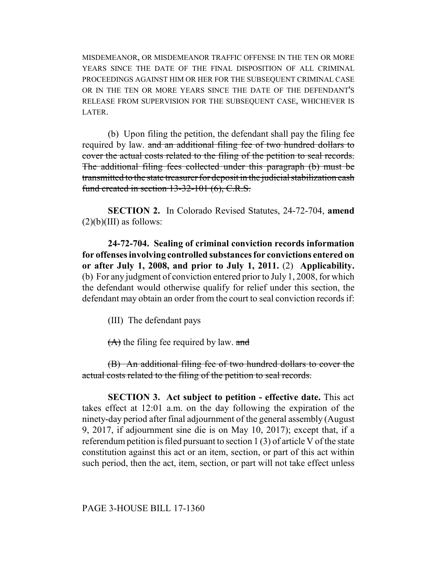MISDEMEANOR, OR MISDEMEANOR TRAFFIC OFFENSE IN THE TEN OR MORE YEARS SINCE THE DATE OF THE FINAL DISPOSITION OF ALL CRIMINAL PROCEEDINGS AGAINST HIM OR HER FOR THE SUBSEQUENT CRIMINAL CASE OR IN THE TEN OR MORE YEARS SINCE THE DATE OF THE DEFENDANT'S RELEASE FROM SUPERVISION FOR THE SUBSEQUENT CASE, WHICHEVER IS LATER.

(b) Upon filing the petition, the defendant shall pay the filing fee required by law. and an additional filing fee of two hundred dollars to cover the actual costs related to the filing of the petition to seal records. The additional filing fees collected under this paragraph (b) must be transmitted to the state treasurer for deposit in the judicial stabilization cash fund created in section 13-32-101 (6), C.R.S.

**SECTION 2.** In Colorado Revised Statutes, 24-72-704, **amend**  $(2)(b)(III)$  as follows:

**24-72-704. Sealing of criminal conviction records information for offenses involving controlled substances for convictions entered on or after July 1, 2008, and prior to July 1, 2011.** (2) **Applicability.** (b) For any judgment of conviction entered prior to July 1, 2008, for which the defendant would otherwise qualify for relief under this section, the defendant may obtain an order from the court to seal conviction records if:

(III) The defendant pays

 $(A)$  the filing fee required by law. and

(B) An additional filing fee of two hundred dollars to cover the actual costs related to the filing of the petition to seal records.

**SECTION 3. Act subject to petition - effective date.** This act takes effect at 12:01 a.m. on the day following the expiration of the ninety-day period after final adjournment of the general assembly (August 9, 2017, if adjournment sine die is on May 10, 2017); except that, if a referendum petition is filed pursuant to section 1 (3) of article V of the state constitution against this act or an item, section, or part of this act within such period, then the act, item, section, or part will not take effect unless